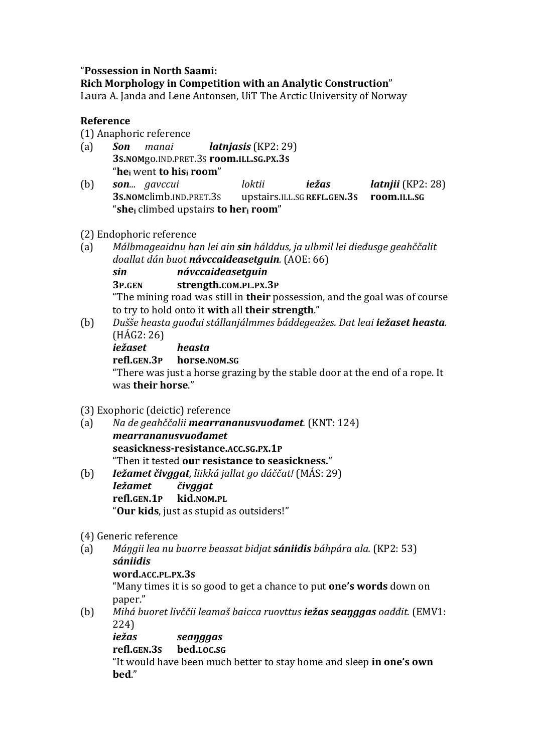## "Possession in North Saami:

## **Rich Morphology in Competition with an Analytic Construction**"

Laura A. Janda and Lene Antonsen, UiT The Arctic University of Norway

## **Reference**

- (1) Anaphoric reference
- (a) *Son manai latnjasis* (KP2: 29) **3S.NOM**go.IND.PRET.3S **room.ILL.SG.PX.3S** "**he**<sub>i</sub> went **to his**<sub>i</sub> **room**"
- (b) *son... gavccui loktii iežas latnjii* (KP2: 28) **3S.NOM**climb.IND.PRET.3S upstairs.ILL.SG**REFL.GEN.3S room.ILL.SG** "**shei** climbed upstairs **to heri room**"
- (2) Endophoric reference
- (a) *Málbmageaidnu han lei ain sin hálddus, ja ulbmil lei dieðusge geahččalit doallat dán buot návccaideasetguin.* (AOE: 66)

*sin návccaideasetguin*

**3P.GEN strength.COM.PL.PX.3P**

"The mining road was still in **their** possession, and the goal was of course to try to hold onto it with all their strength."

(b) *Dušše heasta guođui stállanjálmmes báddegeažes. Dat leai iežaset heasta.*  $(HAG2:26)$ 

*iežaset heasta* **refl.GEN.3P horse.NOM.SG** "There was just a horse grazing by the stable door at the end of a rope. It was **their horse**."

- (3) Exophoric (deictic) reference
- (a) *Na de geahččalii mearrananusvuođamet.* (KNT: 124) *mearrananusvuođamet* **seasickness-resistance.ACC.SG.PX.1P** "Then it tested **our resistance to seasickness.**"
- (b) *Iežamet čivggat, liikká jallat go dáččat!* (MÁS: 29) *Iežamet čivggat* **refl.GEN.1P kid.NOM.PL** "**Our kids**, just as stupid as outsiders!"
- (4) Generic reference
- (a) *Máŋgii lea nu buorre beassat bidjat sániidis báhpára ala.* (KP2: 53) *sániidis*
	- **word.ACC.PL.PX.3S**

"Many times it is so good to get a chance to put **one's words** down on paper."

(b) *Mihá buoret livččii leamaš baicca ruovttus iežas seaŋggas oađđit.* (EMV1: 224)

*iežas seaŋggas*

**refl.GEN.3S bed.LOC.SG**

"It would have been much better to stay home and sleep **in one's own bed**."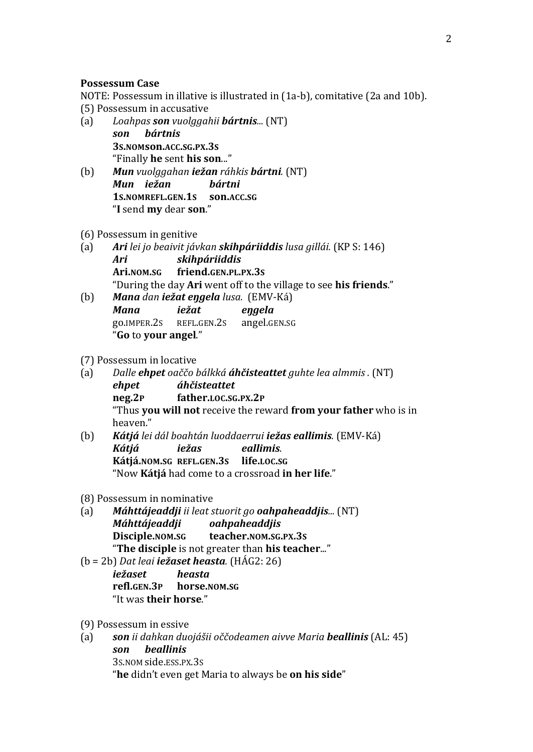#### **Possessum Case**

NOTE: Possessum in illative is illustrated in (1a-b), comitative (2a and 10b). (5) Possessum in accusative

- (a) *Loahpas son vuolggahii bártnis...* (NT) *son bártnis* **3S.NOMson.ACC.SG.PX.3S** "Finally **he** sent **his son**..."
- (b) *Mun vuolggahan iežan ráhkis bártni.* (NT) *Mun iežan bártni* **1S.NOMREFL.GEN.1S son.ACC.SG** "**I** send **my** dear **son**."
- (6) Possessum in genitive
- (a) *Ari* lei jo beaivit jávkan **skihpáriiddis** lusa gillái. (KP S: 146) *Ari skihpáriiddis* **Ari.NOM.SG friend.GEN.PL.PX.3S** "During the day **Ari** went off to the village to see **his friends**."
- (b) *Mana dan iežat eŋgela lusa.* (EMV-Ká) *Mana iežat eŋgela* go.IMPER.2S REFL.GEN.2S angel.GEN.SG "**Go** to **your angel**."
- (7) Possessum in locative
- (a) *Dalle ehpet oaččo bálkká áhčisteattet guhte lea almmis .* (NT) *ehpet áhčisteattet* **neg.2P father.LOC.SG.PX.2P** "Thus **you will not** receive the reward **from your father** who is in heaven."
- (b) *Kátjá lei dál boahtán luoddaerrui iežas eallimis.* (EMV-Ká) *Kátjá iežas eallimis.*  **Kátjá.NOM.SG REFL.GEN.3S life.LOC.SG**  "Now Kátjá had come to a crossroad in her life."
- (8) Possessum in nominative
- (a) *Máhttájeaddji ii leat stuorit go oahpaheaddjis...* (NT) *Máhttájeaddji oahpaheaddjis* **Disciple.NOM.SG teacher.NOM.SG.PX.3S** "**The disciple** is not greater than **his teacher...**"
- (b = 2b) *Dat leai iežaset heasta.* (HÁG2: 26) *iežaset heasta* **refl.GEN.3P horse.NOM.SG** "It was **their horse**."
- (9) Possessum in essive
- (a) *son ii dahkan duojášii oččodeamen aivve Maria beallinis* (AL: 45) *son beallinis* 3S.NOM side.ESS.PX.3S "**he** didn't even get Maria to always be **on his side**"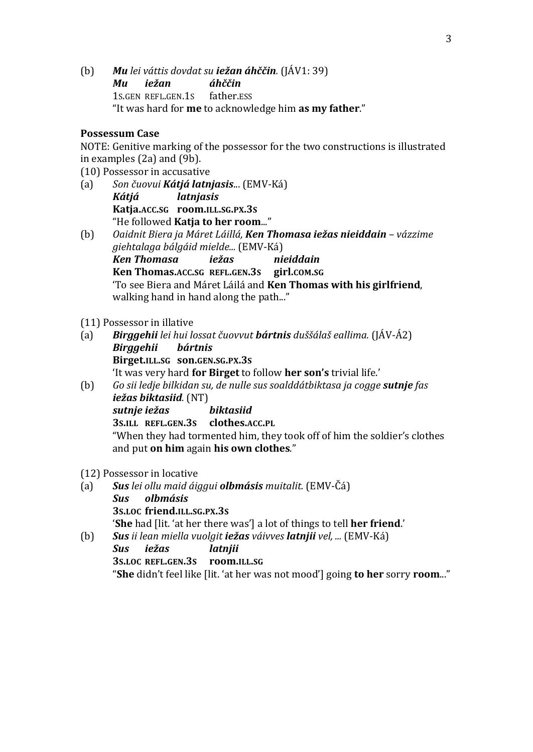(b) *Mu lei váttis dovdat su iežan áhččin.* (JÁV1: 39) *Mu iežan áhččin* 1S.GEN REFL.GEN.1S father.ESS "It was hard for **me** to acknowledge him **as my father**."

### **Possessum Case**

NOTE: Genitive marking of the possessor for the two constructions is illustrated in examples  $(2a)$  and  $(9b)$ .

(10) Possessor in accusative

- (a) *Son čuovui Kátjá latnjasis*... (EMV-Ká) *Kátjá latnjasis* **Katja.ACC.SG room.ILL.SG.PX.3S** "He followed **Katja to her room...**"
- (b) *Oaidnit Biera ja Máret Láillá, Ken Thomasa iežas nieiddain – vázzime giehtalaga bálgáid mielde...* (EMV-Ká) *Ken Thomasa iežas nieiddain* **Ken Thomas.ACC.SG REFL.GEN.3S girl.COM.SG** 'To see Biera and Máret Láilá and **Ken Thomas with his girlfriend**, walking hand in hand along the path..."

#### (11) Possessor in illative

- (a) *Birggehii lei hui lossat čuovvut bártnis duššálaš eallima.* (JÁV-Á2) *Birggehii bártnis* **Birget.ILL.SG son.GEN.SG.PX.3S** 'It was very hard **for Birget** to follow **her son's** trivial life.'
- (b) *Go sii ledje bilkidan su, de nulle sus soalddátbiktasa ja cogge sutnje fas iežas biktasiid.* (NT) *sutnje iežas biktasiid* **3S.ILL REFL.GEN.3S clothes.ACC.PL** "When they had tormented him, they took off of him the soldier's clothes and put **on him** again **his own clothes**."

(12) Possessor in locative

- (a) *Sus lei ollu maid áiggui olbmásis muitalit.* (EMV-Čá) *Sus olbmásis* **3S.LOC friend.ILL.SG.PX.3S 'She** had [lit. 'at her there was'] a lot of things to tell **her friend.'**
- (b) *Sus ii lean miella vuolgit iežas váivves latnjii vel, ...* (EMV-Ká) *Sus iežas latnjii* **3S.LOC REFL.GEN.3S room.ILL.SG** "**She** didn't feel like [lit. 'at her was not mood'] going **to her** sorry **room...**"